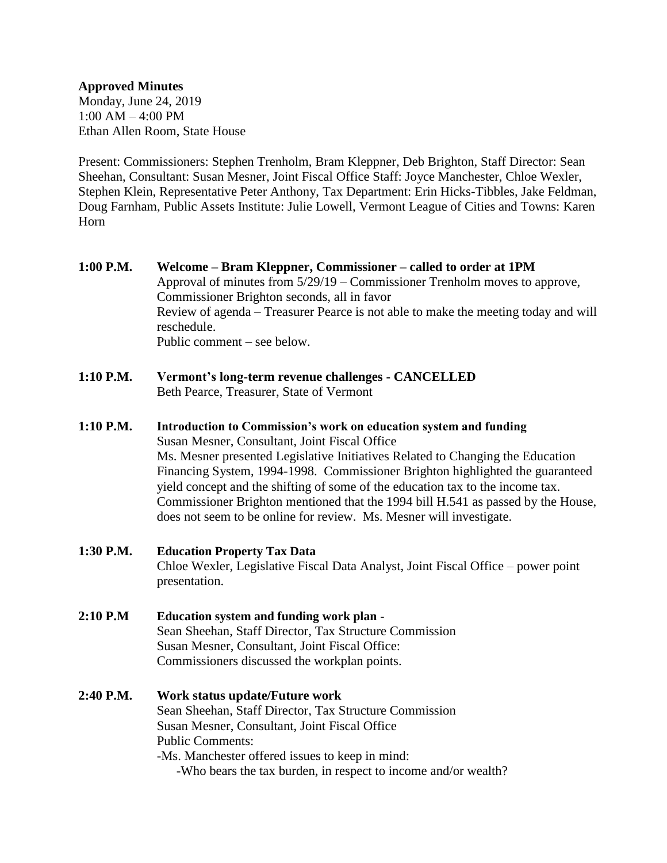## **Approved Minutes**

Monday, June 24, 2019 1:00 AM – 4:00 PM Ethan Allen Room, State House

Present: Commissioners: Stephen Trenholm, Bram Kleppner, Deb Brighton, Staff Director: Sean Sheehan, Consultant: Susan Mesner, Joint Fiscal Office Staff: Joyce Manchester, Chloe Wexler, Stephen Klein, Representative Peter Anthony, Tax Department: Erin Hicks-Tibbles, Jake Feldman, Doug Farnham, Public Assets Institute: Julie Lowell, Vermont League of Cities and Towns: Karen Horn

- **1:00 P.M. Welcome – Bram Kleppner, Commissioner – called to order at 1PM** Approval of minutes from 5/29/19 – Commissioner Trenholm moves to approve, Commissioner Brighton seconds, all in favor Review of agenda – Treasurer Pearce is not able to make the meeting today and will reschedule. Public comment – see below.
- **1:10 P.M. Vermont's long-term revenue challenges - CANCELLED** Beth Pearce, Treasurer, State of Vermont
- **1:10 P.M. Introduction to Commission's work on education system and funding** Susan Mesner, Consultant, Joint Fiscal Office Ms. Mesner presented Legislative Initiatives Related to Changing the Education Financing System, 1994-1998. Commissioner Brighton highlighted the guaranteed yield concept and the shifting of some of the education tax to the income tax. Commissioner Brighton mentioned that the 1994 bill H.541 as passed by the House, does not seem to be online for review. Ms. Mesner will investigate.
- **1:30 P.M. Education Property Tax Data** Chloe Wexler, Legislative Fiscal Data Analyst, Joint Fiscal Office – power point presentation.
- **2:10 P.M Education system and funding work plan -** Sean Sheehan, Staff Director, Tax Structure Commission Susan Mesner, Consultant, Joint Fiscal Office: Commissioners discussed the workplan points.
- **2:40 P.M. Work status update/Future work** Sean Sheehan, Staff Director, Tax Structure Commission Susan Mesner, Consultant, Joint Fiscal Office Public Comments: -Ms. Manchester offered issues to keep in mind: -Who bears the tax burden, in respect to income and/or wealth?